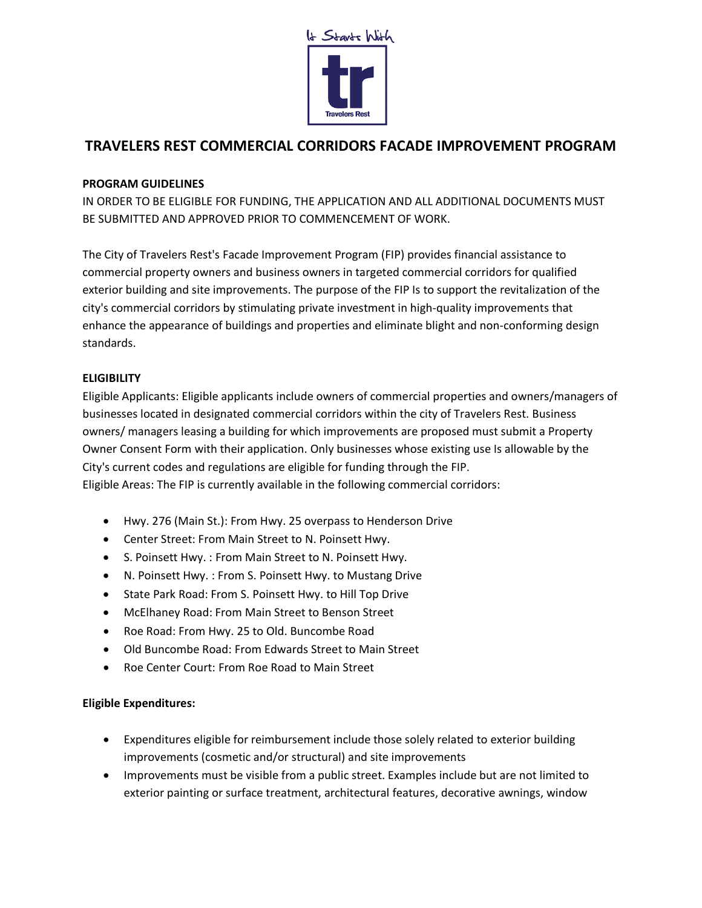

# **TRAVELERS REST COMMERCIAL CORRIDORS FACADE IMPROVEMENT PROGRAM**

# **PROGRAM GUIDELINES**

IN ORDER TO BE ELIGIBLE FOR FUNDING, THE APPLICATION AND ALL ADDITIONAL DOCUMENTS MUST BE SUBMITTED AND APPROVED PRIOR TO COMMENCEMENT OF WORK.

The City of Travelers Rest's Facade Improvement Program (FIP) provides financial assistance to commercial property owners and business owners in targeted commercial corridors for qualified exterior building and site improvements. The purpose of the FIP Is to support the revitalization of the city's commercial corridors by stimulating private investment in high-quality improvements that enhance the appearance of buildings and properties and eliminate blight and non-conforming design standards.

#### **ELIGIBILITY**

Eligible Applicants: Eligible applicants include owners of commercial properties and owners/managers of businesses located in designated commercial corridors within the city of Travelers Rest. Business owners/ managers leasing a building for which improvements are proposed must submit a Property Owner Consent Form with their application. Only businesses whose existing use Is allowable by the City's current codes and regulations are eligible for funding through the FIP. Eligible Areas: The FIP is currently available in the following commercial corridors:

- Hwy. 276 (Main St.): From Hwy. 25 overpass to Henderson Drive
- Center Street: From Main Street to N. Poinsett Hwy.
- S. Poinsett Hwy. : From Main Street to N. Poinsett Hwy.
- N. Poinsett Hwy. : From S. Poinsett Hwy. to Mustang Drive
- State Park Road: From S. Poinsett Hwy. to Hill Top Drive
- McElhaney Road: From Main Street to Benson Street
- Roe Road: From Hwy. 25 to Old. Buncombe Road
- Old Buncombe Road: From Edwards Street to Main Street
- Roe Center Court: From Roe Road to Main Street

# **Eligible Expenditures:**

- Expenditures eligible for reimbursement include those solely related to exterior building improvements (cosmetic and/or structural) and site improvements
- Improvements must be visible from a public street. Examples include but are not limited to exterior painting or surface treatment, architectural features, decorative awnings, window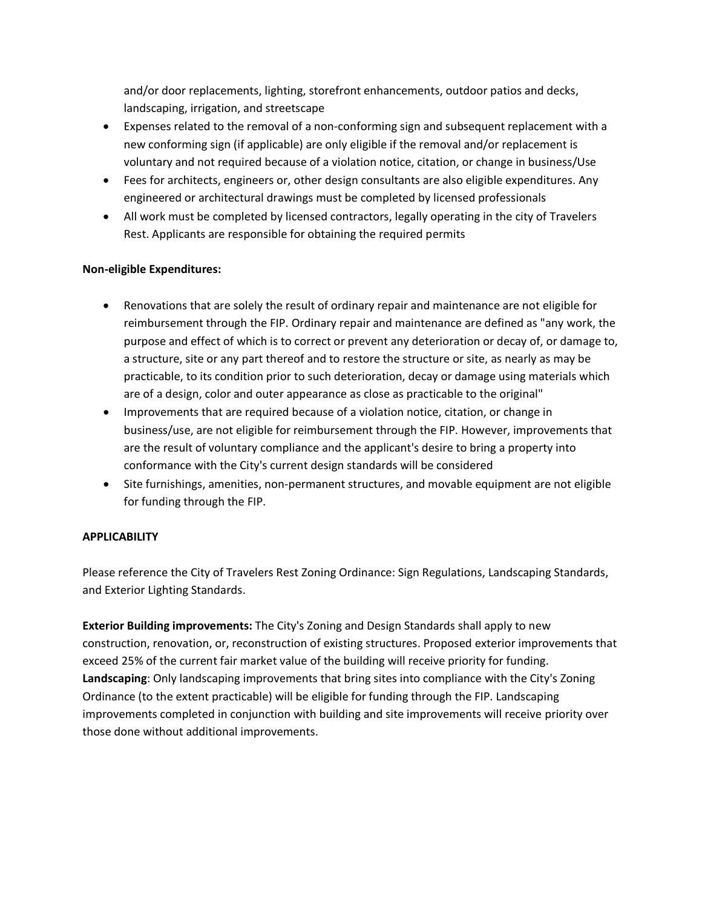and/or door replacements, lighting, storefront enhancements, outdoor patios and decks, landscaping, irrigation, and streetscape

- Expenses related to the removal of a non-conforming sign and subsequent replacement with a new conforming sign (if applicable) are only eligible if the removal and/or replacement is voluntary and not required because of a violation notice, citation, or change in business/Use
- Fees for architects, engineers or, other design consultants are also eligible expenditures. Any engineered or architectural drawings must be completed by licensed professionals
- All work must be completed by licensed contractors, legally operating in the city of Travelers Rest. Applicants are responsible for obtaining the required permits

# **Non-eligible Expenditures:**

- Renovations that are solely the result of ordinary repair and maintenance are not eligible for reimbursement through the FIP. Ordinary repair and maintenance are defined as "any work, the purpose and effect of which is to correct or prevent any deterioration or decay of, or damage to, a structure, site or any part thereof and to restore the structure or site, as nearly as may be practicable, to its condition prior to such deterioration, decay or damage using materials which are of a design, color and outer appearance as close as practicable to the original"
- Improvements that are required because of a violation notice, citation, or change in business/use, are not eligible for reimbursement through the FIP. However, improvements that are the result of voluntary compliance and the applicant's desire to bring a property into conformance with the City's current design standards will be considered
- Site furnishings, amenities, non-permanent structures, and movable equipment are not eligible for funding through the FIP.

# **APPLICABILITY**

Please reference the City of Travelers Rest Zoning Ordinance: Sign Regulations, Landscaping Standards, and Exterior Lighting Standards.

**Exterior Building improvements:** The City's Zoning and Design Standards shall apply to new construction, renovation, or, reconstruction of existing structures. Proposed exterior improvements that exceed 25% of the current fair market value of the building will receive priority for funding. **Landscaping**: Only landscaping improvements that bring sites into compliance with the City's Zoning Ordinance (to the extent practicable) will be eligible for funding through the FIP. Landscaping improvements completed in conjunction with building and site improvements will receive priority over those done without additional improvements.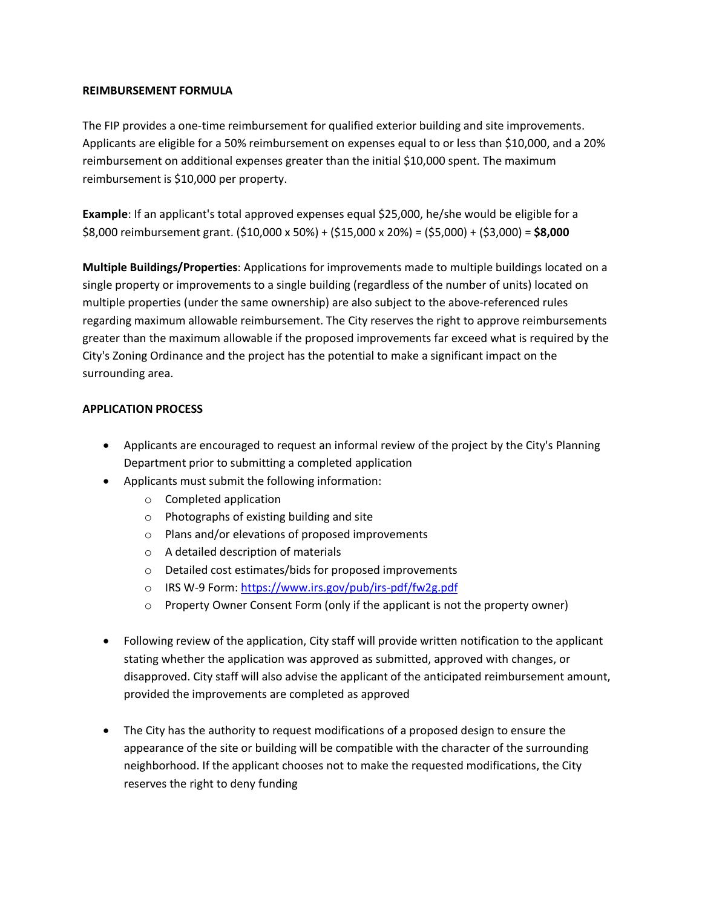#### **REIMBURSEMENT FORMULA**

The FIP provides a one-time reimbursement for qualified exterior building and site improvements. Applicants are eligible for a 50% reimbursement on expenses equal to or less than \$10,000, and a 20% reimbursement on additional expenses greater than the initial \$10,000 spent. The maximum reimbursement is \$10,000 per property.

**Example**: If an applicant's total approved expenses equal \$25,000, he/she would be eligible for a \$8,000 reimbursement grant. (\$10,000 x 50%) + (\$15,000 x 20%) = (\$5,000) + (\$3,000) = **\$8,000**

**Multiple Buildings/Properties**: Applications for improvements made to multiple buildings located on a single property or improvements to a single building (regardless of the number of units) located on multiple properties (under the same ownership) are also subject to the above-referenced rules regarding maximum allowable reimbursement. The City reserves the right to approve reimbursements greater than the maximum allowable if the proposed improvements far exceed what is required by the City's Zoning Ordinance and the project has the potential to make a significant impact on the surrounding area.

#### **APPLICATION PROCESS**

- Applicants are encouraged to request an informal review of the project by the City's Planning Department prior to submitting a completed application
- Applicants must submit the following information:
	- o Completed application
	- o Photographs of existing building and site
	- o Plans and/or elevations of proposed improvements
	- o A detailed description of materials
	- o Detailed cost estimates/bids for proposed improvements
	- o IRS W-9 Form:<https://www.irs.gov/pub/irs-pdf/fw2g.pdf>
	- o Property Owner Consent Form (only if the applicant is not the property owner)
- Following review of the application, City staff will provide written notification to the applicant stating whether the application was approved as submitted, approved with changes, or disapproved. City staff will also advise the applicant of the anticipated reimbursement amount, provided the improvements are completed as approved
- The City has the authority to request modifications of a proposed design to ensure the appearance of the site or building will be compatible with the character of the surrounding neighborhood. If the applicant chooses not to make the requested modifications, the City reserves the right to deny funding